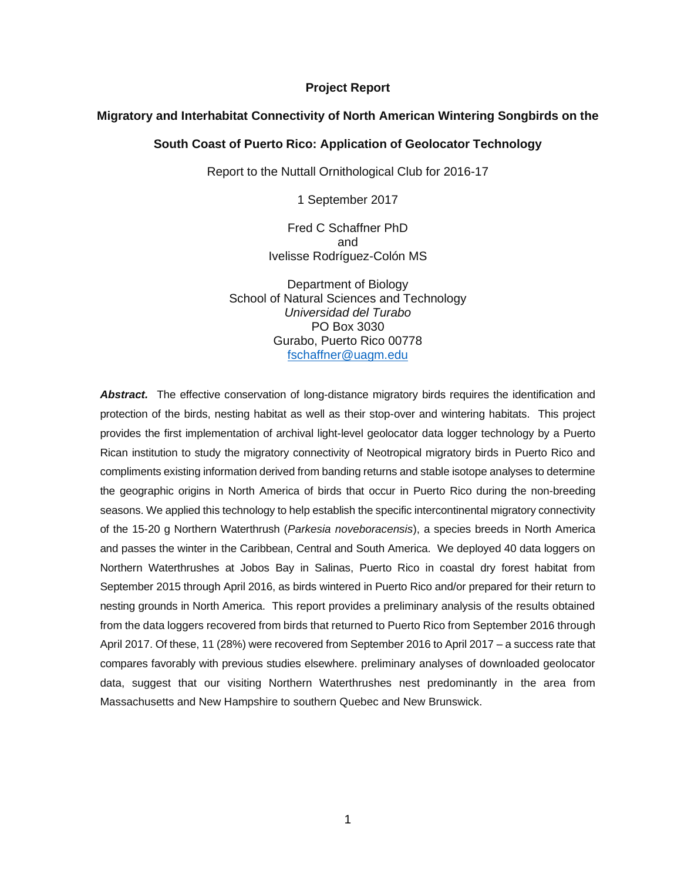#### **Project Report**

#### **Migratory and Interhabitat Connectivity of North American Wintering Songbirds on the**

#### **South Coast of Puerto Rico: Application of Geolocator Technology**

Report to the Nuttall Ornithological Club for 2016-17

1 September 2017

Fred C Schaffner PhD and Ivelisse Rodríguez-Colón MS

Department of Biology School of Natural Sciences and Technology *Universidad del Turabo* PO Box 3030 Gurabo, Puerto Rico 00778 [fschaffner@uagm.edu](mailto:fschaffner@uagm.edu)

*Abstract.* The effective conservation of long-distance migratory birds requires the identification and protection of the birds, nesting habitat as well as their stop-over and wintering habitats. This project provides the first implementation of archival light-level geolocator data logger technology by a Puerto Rican institution to study the migratory connectivity of Neotropical migratory birds in Puerto Rico and compliments existing information derived from banding returns and stable isotope analyses to determine the geographic origins in North America of birds that occur in Puerto Rico during the non-breeding seasons. We applied this technology to help establish the specific intercontinental migratory connectivity of the 15-20 g Northern Waterthrush (*Parkesia noveboracensis*), a species breeds in North America and passes the winter in the Caribbean, Central and South America. We deployed 40 data loggers on Northern Waterthrushes at Jobos Bay in Salinas, Puerto Rico in coastal dry forest habitat from September 2015 through April 2016, as birds wintered in Puerto Rico and/or prepared for their return to nesting grounds in North America. This report provides a preliminary analysis of the results obtained from the data loggers recovered from birds that returned to Puerto Rico from September 2016 through April 2017. Of these, 11 (28%) were recovered from September 2016 to April 2017 – a success rate that compares favorably with previous studies elsewhere. preliminary analyses of downloaded geolocator data, suggest that our visiting Northern Waterthrushes nest predominantly in the area from Massachusetts and New Hampshire to southern Quebec and New Brunswick.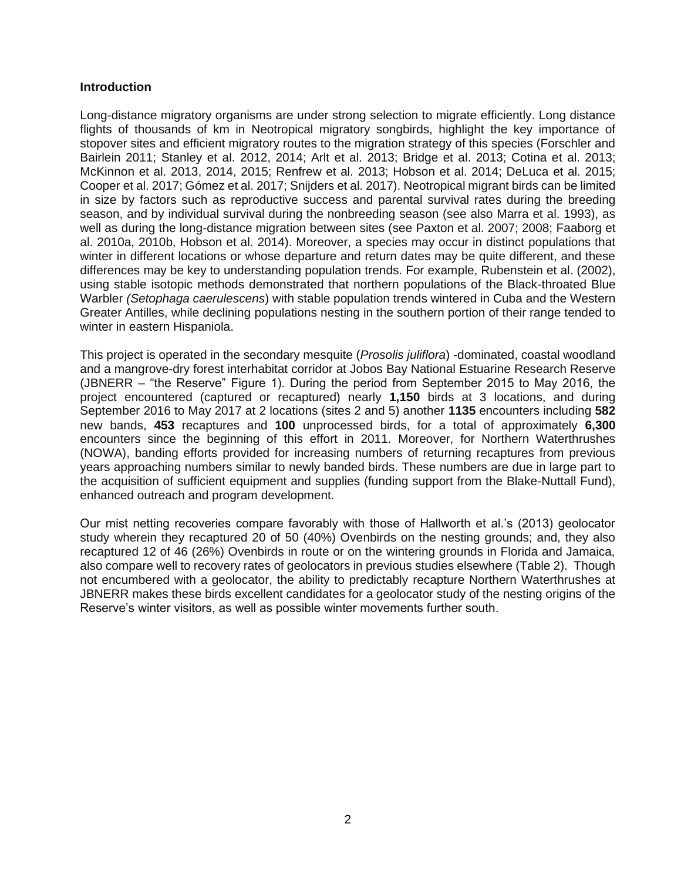## **Introduction**

Long-distance migratory organisms are under strong selection to migrate efficiently. Long distance flights of thousands of km in Neotropical migratory songbirds, highlight the key importance of stopover sites and efficient migratory routes to the migration strategy of this species (Forschler and Bairlein 2011; Stanley et al. 2012, 2014; Arlt et al. 2013; Bridge et al. 2013; Cotina et al. 2013; McKinnon et al. 2013, 2014, 2015; Renfrew et al. 2013; Hobson et al. 2014; DeLuca et al. 2015; Cooper et al. 2017; Gómez et al. 2017; Snijders et al. 2017). Neotropical migrant birds can be limited in size by factors such as reproductive success and parental survival rates during the breeding season, and by individual survival during the nonbreeding season (see also Marra et al. 1993), as well as during the long-distance migration between sites (see Paxton et al. 2007; 2008; Faaborg et al. 2010a, 2010b, Hobson et al. 2014). Moreover, a species may occur in distinct populations that winter in different locations or whose departure and return dates may be quite different, and these differences may be key to understanding population trends. For example, Rubenstein et al. (2002), using stable isotopic methods demonstrated that northern populations of the Black-throated Blue Warbler *(Setophaga caerulescens*) with stable population trends wintered in Cuba and the Western Greater Antilles, while declining populations nesting in the southern portion of their range tended to winter in eastern Hispaniola.

This project is operated in the secondary mesquite (*Prosolis juliflora*) -dominated, coastal woodland and a mangrove-dry forest interhabitat corridor at Jobos Bay National Estuarine Research Reserve (JBNERR – "the Reserve" Figure 1). During the period from September 2015 to May 2016, the project encountered (captured or recaptured) nearly **1,150** birds at 3 locations, and during September 2016 to May 2017 at 2 locations (sites 2 and 5) another **1135** encounters including **582** new bands, **453** recaptures and **100** unprocessed birds, for a total of approximately **6,300** encounters since the beginning of this effort in 2011. Moreover, for Northern Waterthrushes (NOWA), banding efforts provided for increasing numbers of returning recaptures from previous years approaching numbers similar to newly banded birds. These numbers are due in large part to the acquisition of sufficient equipment and supplies (funding support from the Blake-Nuttall Fund), enhanced outreach and program development.

Our mist netting recoveries compare favorably with those of Hallworth et al.'s (2013) geolocator study wherein they recaptured 20 of 50 (40%) Ovenbirds on the nesting grounds; and, they also recaptured 12 of 46 (26%) Ovenbirds in route or on the wintering grounds in Florida and Jamaica, also compare well to recovery rates of geolocators in previous studies elsewhere (Table 2). Though not encumbered with a geolocator, the ability to predictably recapture Northern Waterthrushes at JBNERR makes these birds excellent candidates for a geolocator study of the nesting origins of the Reserve's winter visitors, as well as possible winter movements further south.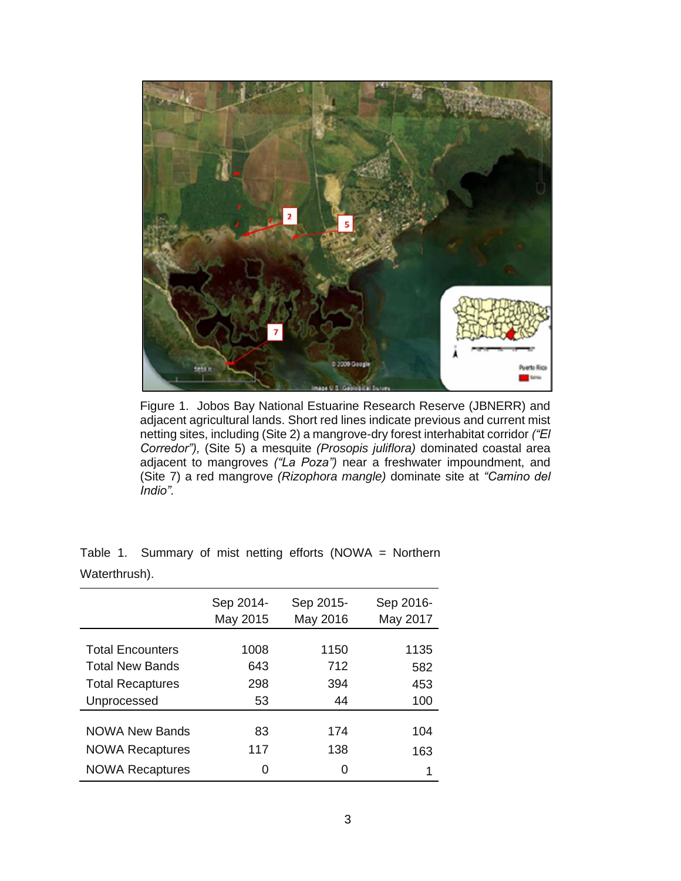

Figure 1. Jobos Bay National Estuarine Research Reserve (JBNERR) and adjacent agricultural lands. Short red lines indicate previous and current mist netting sites, including (Site 2) a mangrove-dry forest interhabitat corridor *("El Corredor"),* (Site 5) a mesquite *(Prosopis juliflora)* dominated coastal area adjacent to mangroves *("La Poza")* near a freshwater impoundment, and (Site 7) a red mangrove *(Rizophora mangle)* dominate site at *"Camino del Indio".*

|                         | Sep 2014-<br>May 2015 | Sep 2015-<br>May 2016 | Sep 2016-<br>May 2017 |
|-------------------------|-----------------------|-----------------------|-----------------------|
|                         |                       |                       |                       |
| <b>Total Encounters</b> | 1008                  | 1150                  | 1135                  |
| <b>Total New Bands</b>  | 643                   | 712                   | 582                   |
| <b>Total Recaptures</b> | 298                   | 394                   | 453                   |
| Unprocessed             | 53                    | 44                    | 100                   |
|                         |                       |                       |                       |
| <b>NOWA New Bands</b>   | 83                    | 174                   | 104                   |
| <b>NOWA Recaptures</b>  | 117                   | 138                   | 163                   |
| <b>NOWA Recaptures</b>  | 0                     | ი                     | 1                     |

Table 1. Summary of mist netting efforts (NOWA = Northern Waterthrush).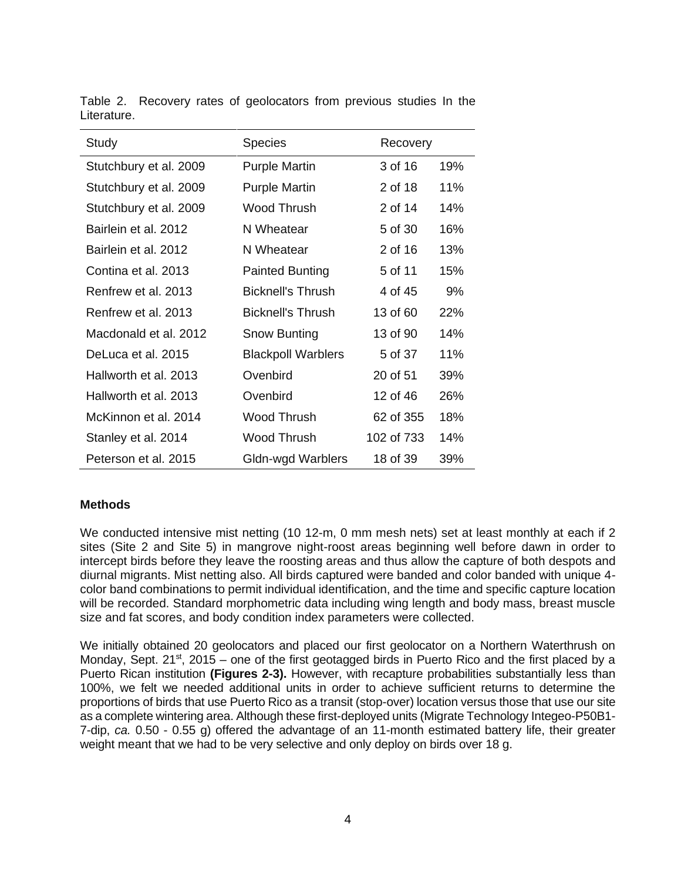| Study                  | <b>Species</b>            | Recovery   |     |
|------------------------|---------------------------|------------|-----|
| Stutchbury et al. 2009 | <b>Purple Martin</b>      | 3 of 16    | 19% |
| Stutchbury et al. 2009 | <b>Purple Martin</b>      | 2 of 18    | 11% |
| Stutchbury et al. 2009 | Wood Thrush               | 2 of 14    | 14% |
| Bairlein et al. 2012   | N Wheatear                | 5 of 30    | 16% |
| Bairlein et al. 2012   | N Wheatear                | 2 of 16    | 13% |
| Contina et al. 2013    | <b>Painted Bunting</b>    | 5 of 11    | 15% |
| Renfrew et al. 2013    | <b>Bicknell's Thrush</b>  | 4 of 45    | 9%  |
| Renfrew et al. 2013    | <b>Bicknell's Thrush</b>  | 13 of 60   | 22% |
| Macdonald et al. 2012  | Snow Bunting              | 13 of 90   | 14% |
| DeLuca et al. 2015     | <b>Blackpoll Warblers</b> | 5 of 37    | 11% |
| Hallworth et al. 2013  | Ovenbird                  | 20 of 51   | 39% |
| Hallworth et al. 2013  | Ovenbird                  | 12 of 46   | 26% |
| McKinnon et al. 2014   | Wood Thrush               | 62 of 355  | 18% |
| Stanley et al. 2014    | Wood Thrush               | 102 of 733 | 14% |
| Peterson et al. 2015   | Gldn-wgd Warblers         | 18 of 39   | 39% |

Table 2. Recovery rates of geolocators from previous studies In the Literature.

# **Methods**

We conducted intensive mist netting (10 12-m, 0 mm mesh nets) set at least monthly at each if 2 sites (Site 2 and Site 5) in mangrove night-roost areas beginning well before dawn in order to intercept birds before they leave the roosting areas and thus allow the capture of both despots and diurnal migrants. Mist netting also. All birds captured were banded and color banded with unique 4 color band combinations to permit individual identification, and the time and specific capture location will be recorded. Standard morphometric data including wing length and body mass, breast muscle size and fat scores, and body condition index parameters were collected.

We initially obtained 20 geolocators and placed our first geolocator on a Northern Waterthrush on Monday, Sept. 21<sup>st</sup>, 2015 – one of the first geotagged birds in Puerto Rico and the first placed by a Puerto Rican institution **(Figures 2-3).** However, with recapture probabilities substantially less than 100%, we felt we needed additional units in order to achieve sufficient returns to determine the proportions of birds that use Puerto Rico as a transit (stop-over) location versus those that use our site as a complete wintering area. Although these first-deployed units (Migrate Technology Integeo-P50B1- 7-dip, *ca.* 0.50 - 0.55 g) offered the advantage of an 11-month estimated battery life, their greater weight meant that we had to be very selective and only deploy on birds over 18 g.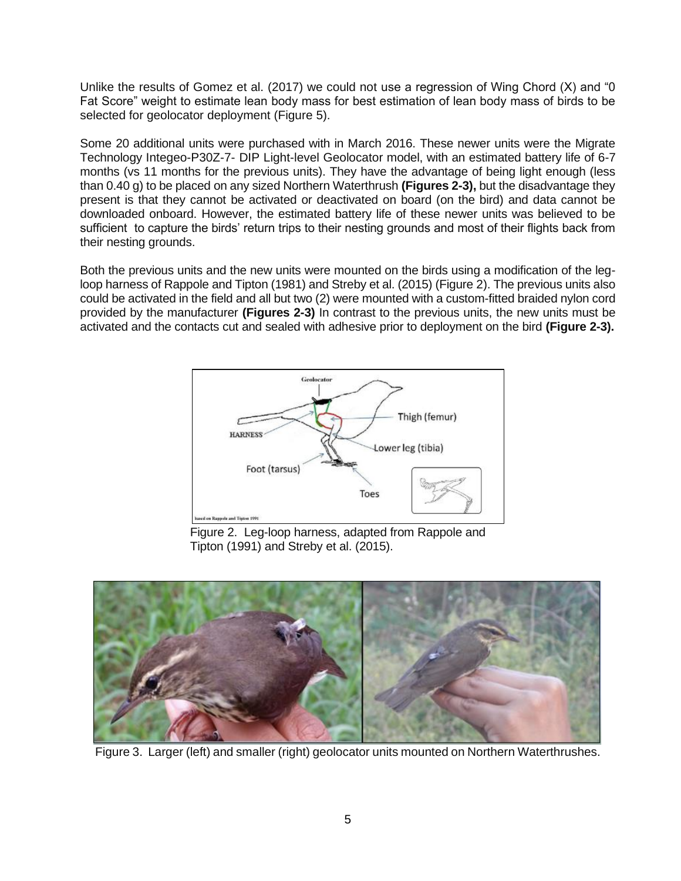Unlike the results of Gomez et al. (2017) we could not use a regression of Wing Chord (X) and "0 Fat Score" weight to estimate lean body mass for best estimation of lean body mass of birds to be selected for geolocator deployment (Figure 5).

Some 20 additional units were purchased with in March 2016. These newer units were the Migrate Technology Integeo-P30Z-7- DIP Light-level Geolocator model, with an estimated battery life of 6-7 months (vs 11 months for the previous units). They have the advantage of being light enough (less than 0.40 g) to be placed on any sized Northern Waterthrush **(Figures 2-3),** but the disadvantage they present is that they cannot be activated or deactivated on board (on the bird) and data cannot be downloaded onboard. However, the estimated battery life of these newer units was believed to be sufficient to capture the birds' return trips to their nesting grounds and most of their flights back from their nesting grounds.

Both the previous units and the new units were mounted on the birds using a modification of the legloop harness of Rappole and Tipton (1981) and Streby et al. (2015) (Figure 2). The previous units also could be activated in the field and all but two (2) were mounted with a custom-fitted braided nylon cord provided by the manufacturer **(Figures 2-3)** In contrast to the previous units, the new units must be activated and the contacts cut and sealed with adhesive prior to deployment on the bird **(Figure 2-3).**



Figure 2. Leg-loop harness, adapted from Rappole and Tipton (1991) and Streby et al. (2015).



Figure 3. Larger (left) and smaller (right) geolocator units mounted on Northern Waterthrushes.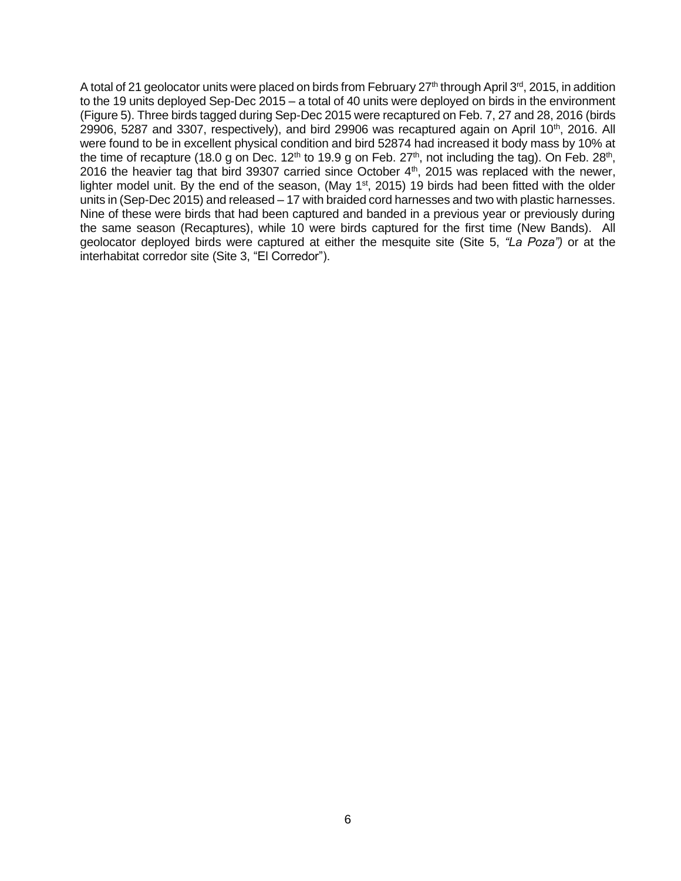A total of 21 geolocator units were placed on birds from February 27<sup>th</sup> through April 3<sup>rd</sup>, 2015, in addition to the 19 units deployed Sep-Dec 2015 – a total of 40 units were deployed on birds in the environment (Figure 5). Three birds tagged during Sep-Dec 2015 were recaptured on Feb. 7, 27 and 28, 2016 (birds 29906, 5287 and 3307, respectively), and bird 29906 was recaptured again on April 10<sup>th</sup>, 2016. All were found to be in excellent physical condition and bird 52874 had increased it body mass by 10% at the time of recapture (18.0 g on Dec. 12<sup>th</sup> to 19.9 g on Feb. 27<sup>th</sup>, not including the tag). On Feb. 28<sup>th</sup>, 2016 the heavier tag that bird 39307 carried since October 4<sup>th</sup>, 2015 was replaced with the newer, lighter model unit. By the end of the season, (May 1<sup>st</sup>, 2015) 19 birds had been fitted with the older units in (Sep-Dec 2015) and released – 17 with braided cord harnesses and two with plastic harnesses. Nine of these were birds that had been captured and banded in a previous year or previously during the same season (Recaptures), while 10 were birds captured for the first time (New Bands). All geolocator deployed birds were captured at either the mesquite site (Site 5, *"La Poza")* or at the interhabitat corredor site (Site 3, "El Corredor").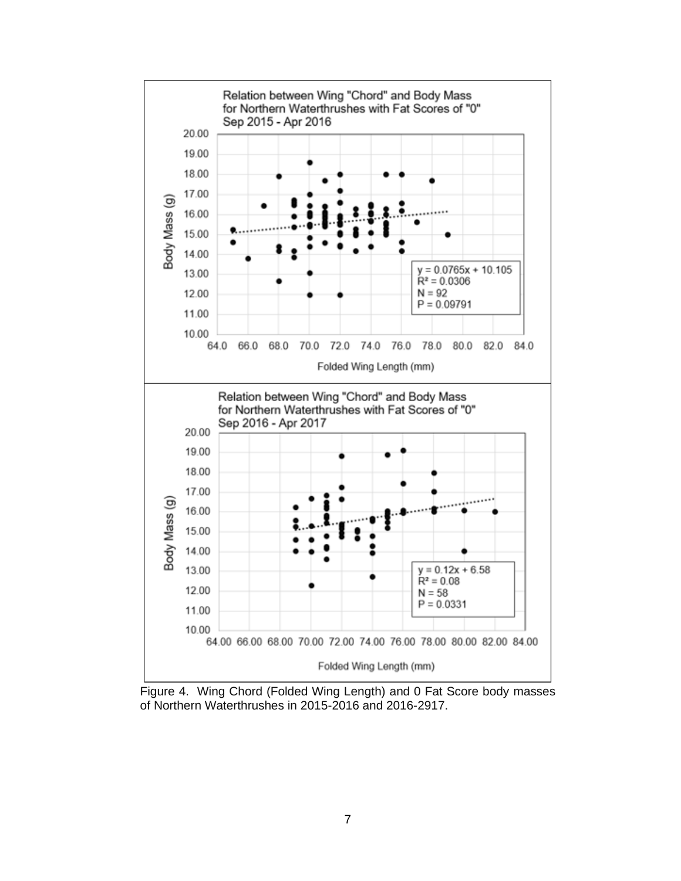

Figure 4. Wing Chord (Folded Wing Length) and 0 Fat Score body masses of Northern Waterthrushes in 2015-2016 and 2016-2917.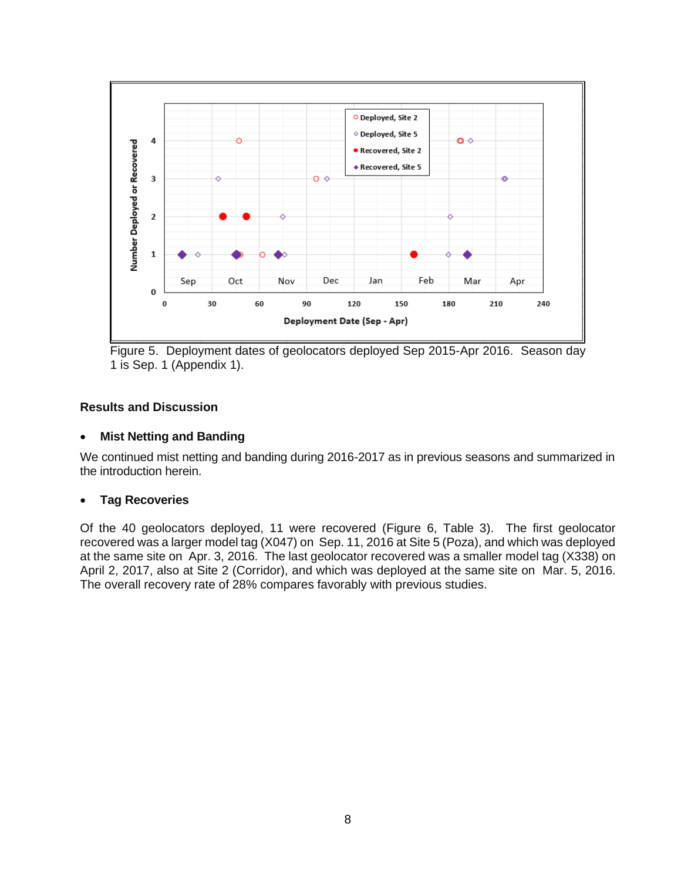

Figure 5. Deployment dates of geolocators deployed Sep 2015-Apr 2016. Season day 1 is Sep. 1 (Appendix 1).

# **Results and Discussion**

## • **Mist Netting and Banding**

We continued mist netting and banding during 2016-2017 as in previous seasons and summarized in the introduction herein.

## • **Tag Recoveries**

Of the 40 geolocators deployed, 11 were recovered (Figure 6, Table 3). The first geolocator recovered was a larger model tag (X047) on Sep. 11, 2016 at Site 5 (Poza), and which was deployed at the same site on Apr. 3, 2016. The last geolocator recovered was a smaller model tag (X338) on April 2, 2017, also at Site 2 (Corridor), and which was deployed at the same site on Mar. 5, 2016. The overall recovery rate of 28% compares favorably with previous studies.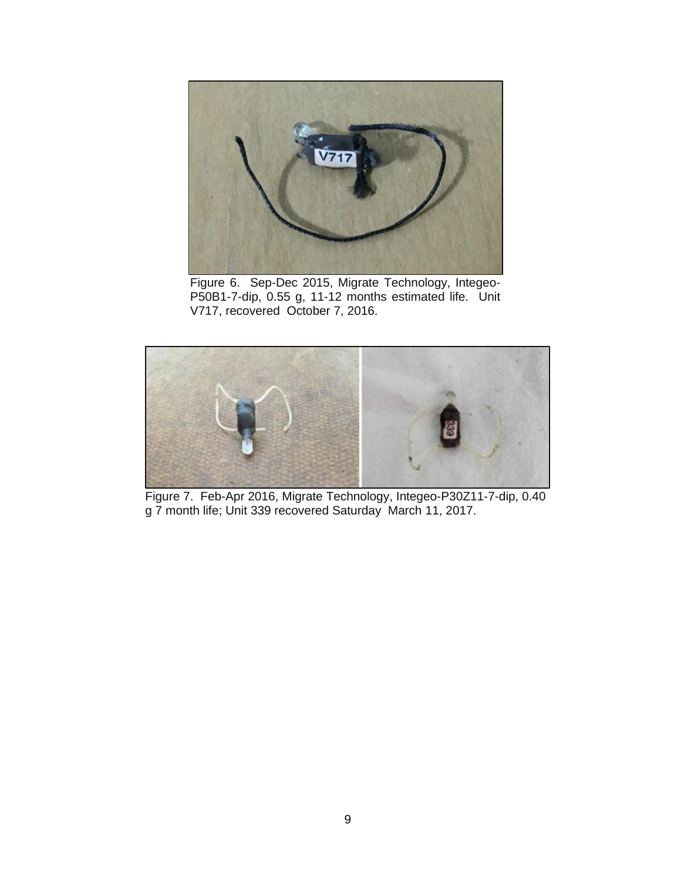

Figure 6. Sep-Dec 2015, Migrate Technology, Integeo-P50B1-7-dip, 0.55 g, 11-12 months estimated life. Unit V717, recovered October 7, 2016.



Figure 7. Feb-Apr 2016, Migrate Technology, Integeo-P30Z11-7-dip, 0.40 g 7 month life; Unit 339 recovered Saturday March 11, 2017.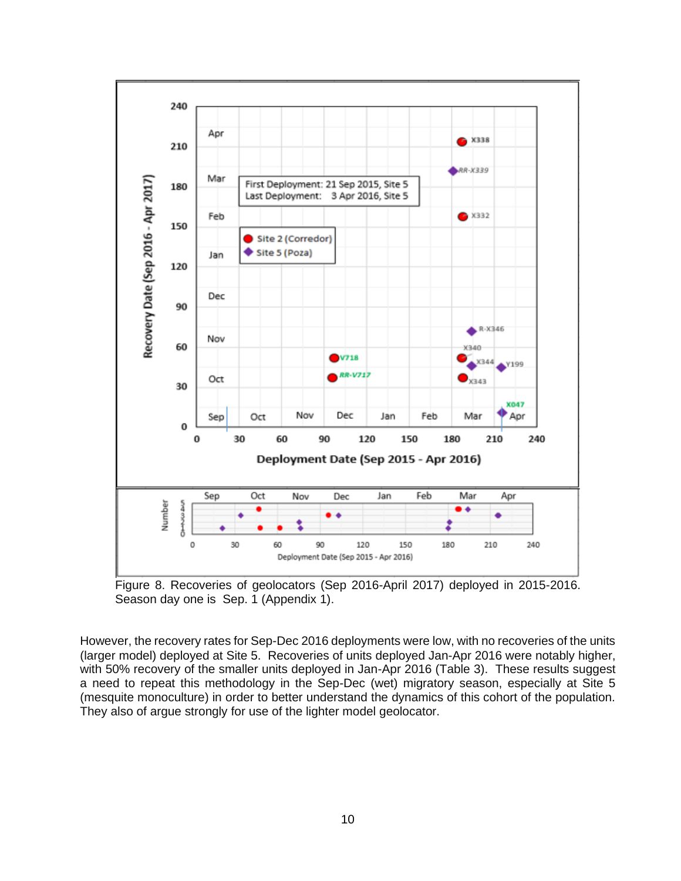

Figure 8. Recoveries of geolocators (Sep 2016-April 2017) deployed in 2015-2016. Season day one is Sep. 1 (Appendix 1).

However, the recovery rates for Sep-Dec 2016 deployments were low, with no recoveries of the units (larger model) deployed at Site 5. Recoveries of units deployed Jan-Apr 2016 were notably higher, with 50% recovery of the smaller units deployed in Jan-Apr 2016 (Table 3). These results suggest a need to repeat this methodology in the Sep-Dec (wet) migratory season, especially at Site 5 (mesquite monoculture) in order to better understand the dynamics of this cohort of the population. They also of argue strongly for use of the lighter model geolocator.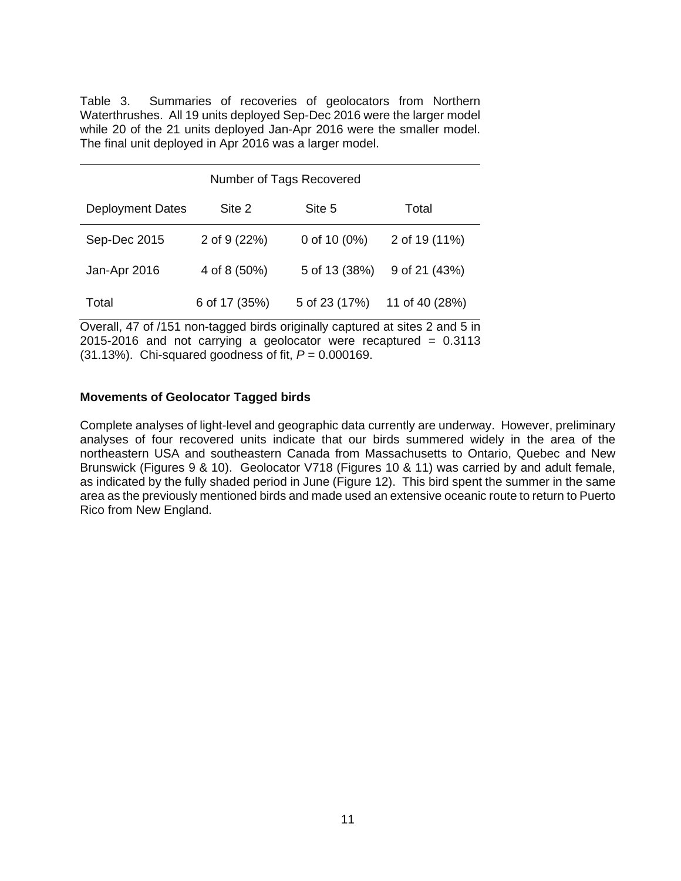Table 3. Summaries of recoveries of geolocators from Northern Waterthrushes. All 19 units deployed Sep-Dec 2016 were the larger model while 20 of the 21 units deployed Jan-Apr 2016 were the smaller model. The final unit deployed in Apr 2016 was a larger model.

| Number of Tags Recovered |               |                 |                |
|--------------------------|---------------|-----------------|----------------|
| <b>Deployment Dates</b>  | Site 2        | Site 5          | Total          |
| Sep-Dec 2015             | 2 of 9 (22%)  | 0 of 10 $(0\%)$ | 2 of 19 (11%)  |
| Jan-Apr 2016             | 4 of 8 (50%)  | 5 of 13 (38%)   | 9 of 21 (43%)  |
| Total                    | 6 of 17 (35%) | 5 of 23 (17%)   | 11 of 40 (28%) |

Overall, 47 of /151 non-tagged birds originally captured at sites 2 and 5 in  $2015-2016$  and not carrying a geolocator were recaptured =  $0.3113$ (31.13%). Chi-squared goodness of fit, *P* = 0.000169.

## **Movements of Geolocator Tagged birds**

Complete analyses of light-level and geographic data currently are underway. However, preliminary analyses of four recovered units indicate that our birds summered widely in the area of the northeastern USA and southeastern Canada from Massachusetts to Ontario, Quebec and New Brunswick (Figures 9 & 10). Geolocator V718 (Figures 10 & 11) was carried by and adult female, as indicated by the fully shaded period in June (Figure 12). This bird spent the summer in the same area as the previously mentioned birds and made used an extensive oceanic route to return to Puerto Rico from New England.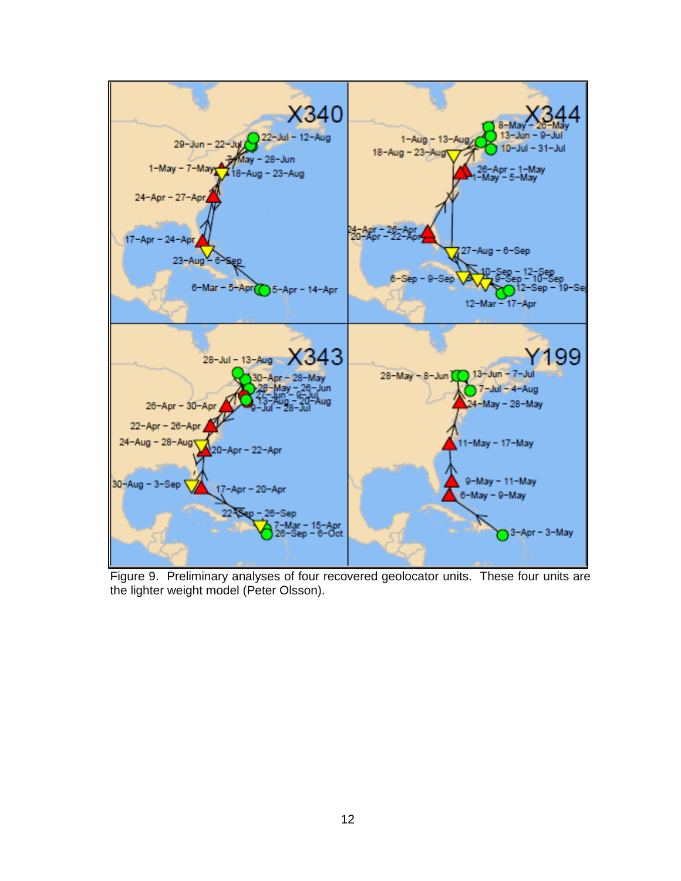

Figure 9. Preliminary analyses of four recovered geolocator units. These four units are the lighter weight model (Peter Olsson).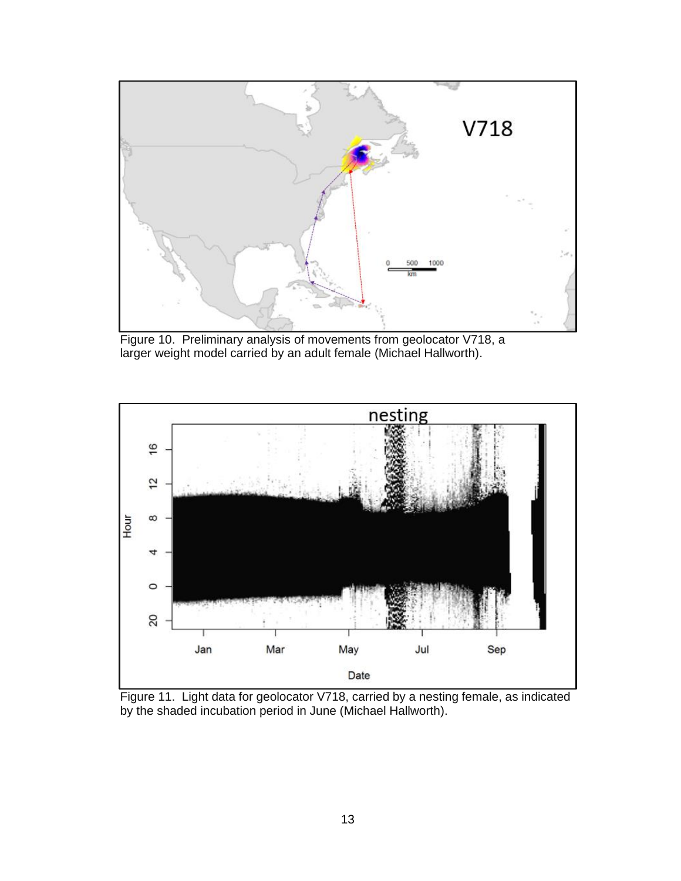

Figure 10. Preliminary analysis of movements from geolocator V718, a larger weight model carried by an adult female (Michael Hallworth).



Figure 11. Light data for geolocator V718, carried by a nesting female, as indicated by the shaded incubation period in June (Michael Hallworth).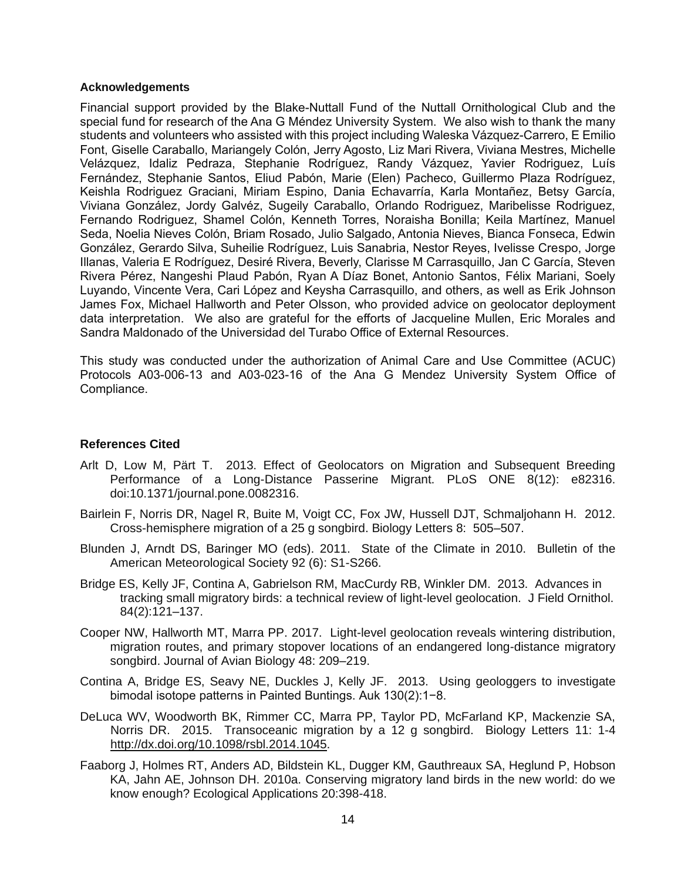#### **Acknowledgements**

Financial support provided by the Blake-Nuttall Fund of the Nuttall Ornithological Club and the special fund for research of the Ana G Méndez University System. We also wish to thank the many students and volunteers who assisted with this project including Waleska Vázquez-Carrero, E Emilio Font, Giselle Caraballo, Mariangely Colón, Jerry Agosto, Liz Mari Rivera, Viviana Mestres, Michelle Velázquez, Idaliz Pedraza, Stephanie Rodríguez, Randy Vázquez, Yavier Rodriguez, Luís Fernández, Stephanie Santos, Eliud Pabón, Marie (Elen) Pacheco, Guillermo Plaza Rodríguez, Keishla Rodriguez Graciani, Miriam Espino, Dania Echavarría, Karla Montañez, Betsy García, Viviana González, Jordy Galvéz, Sugeily Caraballo, Orlando Rodriguez, Maribelisse Rodriguez, Fernando Rodriguez, Shamel Colón, Kenneth Torres, Noraisha Bonilla; Keila Martínez, Manuel Seda, Noelia Nieves Colón, Briam Rosado, Julio Salgado, Antonia Nieves, Bianca Fonseca, Edwin González, Gerardo Silva, Suheilie Rodríguez, Luis Sanabria, Nestor Reyes, Ivelisse Crespo, Jorge Illanas, Valeria E Rodríguez, Desiré Rivera, Beverly, Clarisse M Carrasquillo, Jan C García, Steven Rivera Pérez, Nangeshi Plaud Pabón, Ryan A Díaz Bonet, Antonio Santos, Félix Mariani, Soely Luyando, Vincente Vera, Cari López and Keysha Carrasquillo, and others, as well as Erik Johnson James Fox, Michael Hallworth and Peter Olsson, who provided advice on geolocator deployment data interpretation. We also are grateful for the efforts of Jacqueline Mullen, Eric Morales and Sandra Maldonado of the Universidad del Turabo Office of External Resources.

This study was conducted under the authorization of Animal Care and Use Committee (ACUC) Protocols A03-006-13 and A03-023-16 of the Ana G Mendez University System Office of Compliance.

# **References Cited**

- Arlt D, Low M, Pärt T. 2013. Effect of Geolocators on Migration and Subsequent Breeding Performance of a Long-Distance Passerine Migrant. PLoS ONE 8(12): e82316. doi:10.1371/journal.pone.0082316.
- Bairlein F, Norris DR, Nagel R, Buite M, Voigt CC, Fox JW, Hussell DJT, Schmaljohann H. 2012. Cross-hemisphere migration of a 25 g songbird. Biology Letters 8: 505–507.
- Blunden J, Arndt DS, Baringer MO (eds). 2011. State of the Climate in 2010. Bulletin of the American Meteorological Society 92 (6): S1-S266.
- Bridge ES, Kelly JF, Contina A, Gabrielson RM, MacCurdy RB, Winkler DM. 2013. Advances in tracking small migratory birds: a technical review of light-level geolocation. J Field Ornithol. 84(2):121–137.
- Cooper NW, Hallworth MT, Marra PP. 2017. Light-level geolocation reveals wintering distribution, migration routes, and primary stopover locations of an endangered long-distance migratory songbird. Journal of Avian Biology 48: 209–219.
- Contina A, Bridge ES, Seavy NE, Duckles J, Kelly JF. 2013. Using geologgers to investigate bimodal isotope patterns in Painted Buntings. Auk 130(2):1−8.
- DeLuca WV, Woodworth BK, Rimmer CC, Marra PP, Taylor PD, McFarland KP, Mackenzie SA, Norris DR. 2015. Transoceanic migration by a 12 g songbird. Biology Letters 11: 1-4 [http://dx.doi.org/10.1098/rsbl.2014.1045.](http://dx.doi.org/10.1098/rsbl.2014.1045)
- Faaborg J, Holmes RT, Anders AD, Bildstein KL, Dugger KM, Gauthreaux SA, Heglund P, Hobson KA, Jahn AE, Johnson DH. 2010a. Conserving migratory land birds in the new world: do we know enough? Ecological Applications 20:398-418.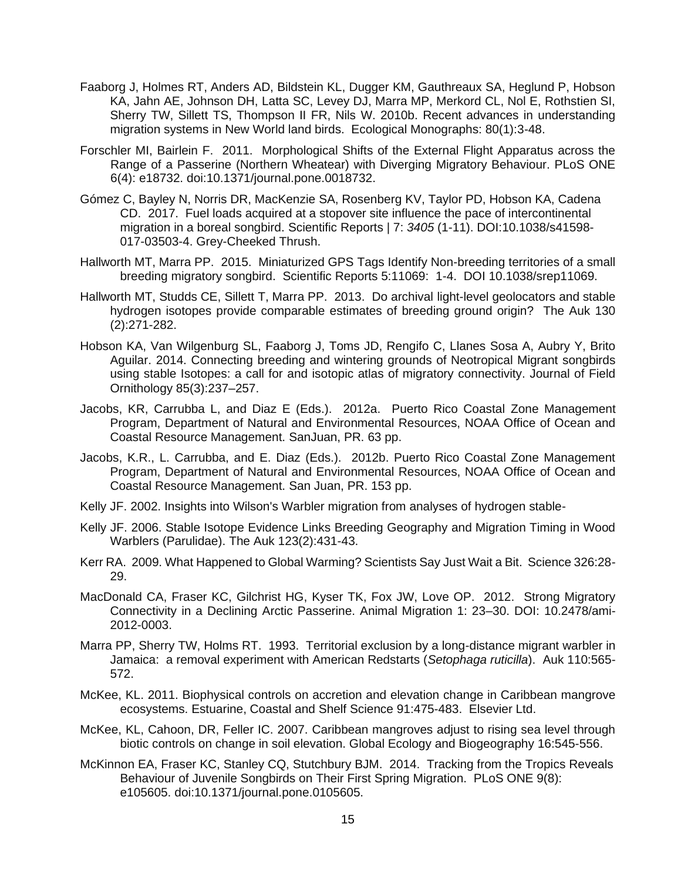- Faaborg J, Holmes RT, Anders AD, Bildstein KL, Dugger KM, Gauthreaux SA, Heglund P, Hobson KA, Jahn AE, Johnson DH, Latta SC, Levey DJ, Marra MP, Merkord CL, Nol E, Rothstien SI, Sherry TW, Sillett TS, Thompson II FR, Nils W. 2010b. Recent advances in understanding migration systems in New World land birds. Ecological Monographs: 80(1):3-48.
- Forschler MI, Bairlein F. 2011. Morphological Shifts of the External Flight Apparatus across the Range of a Passerine (Northern Wheatear) with Diverging Migratory Behaviour. PLoS ONE 6(4): e18732. doi:10.1371/journal.pone.0018732.
- Gómez C, Bayley N, Norris DR, MacKenzie SA, Rosenberg KV, Taylor PD, Hobson KA, Cadena CD. 2017. Fuel loads acquired at a stopover site influence the pace of intercontinental migration in a boreal songbird. Scientific Reports | 7: *3405* (1-11). DOI:10.1038/s41598- 017-03503-4. Grey-Cheeked Thrush.
- Hallworth MT, Marra PP. 2015. Miniaturized GPS Tags Identify Non-breeding territories of a small breeding migratory songbird. Scientific Reports 5:11069: 1-4. DOI 10.1038/srep11069.
- Hallworth MT, Studds CE, Sillett T, Marra PP. 2013. Do archival light-level geolocators and stable hydrogen isotopes provide comparable estimates of breeding ground origin? The Auk 130 (2):271-282.
- Hobson KA, Van Wilgenburg SL, Faaborg J, Toms JD, Rengifo C, Llanes Sosa A, Aubry Y, Brito Aguilar. 2014. Connecting breeding and wintering grounds of Neotropical Migrant songbirds using stable Isotopes: a call for and isotopic atlas of migratory connectivity. Journal of Field Ornithology 85(3):237–257.
- Jacobs, KR, Carrubba L, and Diaz E (Eds.). 2012a. Puerto Rico Coastal Zone Management Program, Department of Natural and Environmental Resources, NOAA Office of Ocean and Coastal Resource Management. SanJuan, PR. 63 pp.
- Jacobs, K.R., L. Carrubba, and E. Diaz (Eds.). 2012b. Puerto Rico Coastal Zone Management Program, Department of Natural and Environmental Resources, NOAA Office of Ocean and Coastal Resource Management. San Juan, PR. 153 pp.
- Kelly JF. 2002. Insights into Wilson's Warbler migration from analyses of hydrogen stable-
- Kelly JF. 2006. Stable Isotope Evidence Links Breeding Geography and Migration Timing in Wood Warblers (Parulidae). The Auk 123(2):431-43.
- Kerr RA. 2009. What Happened to Global Warming? Scientists Say Just Wait a Bit. Science 326:28- 29.
- MacDonald CA, Fraser KC, Gilchrist HG, Kyser TK, Fox JW, Love OP. 2012. Strong Migratory Connectivity in a Declining Arctic Passerine. Animal Migration 1: 23–30. DOI: 10.2478/ami-2012-0003.
- Marra PP, Sherry TW, Holms RT. 1993. Territorial exclusion by a long-distance migrant warbler in Jamaica: a removal experiment with American Redstarts (*Setophaga ruticilla*). Auk 110:565- 572.
- McKee, KL. 2011. Biophysical controls on accretion and elevation change in Caribbean mangrove ecosystems. Estuarine, Coastal and Shelf Science 91:475-483. Elsevier Ltd.
- McKee, KL, Cahoon, DR, Feller IC. 2007. Caribbean mangroves adjust to rising sea level through biotic controls on change in soil elevation. Global Ecology and Biogeography 16:545-556.
- McKinnon EA, Fraser KC, Stanley CQ, Stutchbury BJM. 2014. Tracking from the Tropics Reveals Behaviour of Juvenile Songbirds on Their First Spring Migration. PLoS ONE 9(8): e105605. doi:10.1371/journal.pone.0105605.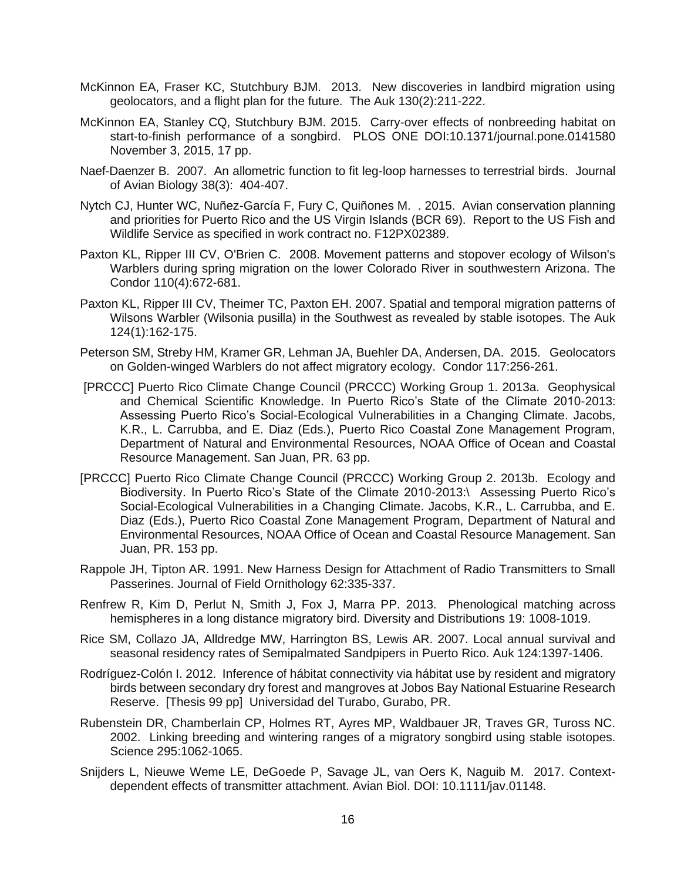- McKinnon EA, Fraser KC, Stutchbury BJM. 2013. New discoveries in landbird migration using geolocators, and a flight plan for the future. The Auk 130(2):211-222.
- McKinnon EA, Stanley CQ, Stutchbury BJM. 2015. Carry-over effects of nonbreeding habitat on start-to-finish performance of a songbird. PLOS ONE DOI:10.1371/journal.pone.0141580 November 3, 2015, 17 pp.
- Naef-Daenzer B. 2007. An allometric function to fit leg-loop harnesses to terrestrial birds. Journal of Avian Biology 38(3): 404-407.
- Nytch CJ, Hunter WC, Nuñez-García F, Fury C, Quiñones M. . 2015. Avian conservation planning and priorities for Puerto Rico and the US Virgin Islands (BCR 69). Report to the US Fish and Wildlife Service as specified in work contract no. F12PX02389.
- Paxton KL, Ripper III CV, O'Brien C. 2008. Movement patterns and stopover ecology of Wilson's Warblers during spring migration on the lower Colorado River in southwestern Arizona. The Condor 110(4):672-681.
- Paxton KL, Ripper III CV, Theimer TC, Paxton EH. 2007. Spatial and temporal migration patterns of Wilsons Warbler (Wilsonia pusilla) in the Southwest as revealed by stable isotopes. The Auk 124(1):162-175.
- Peterson SM, Streby HM, Kramer GR, Lehman JA, Buehler DA, Andersen, DA. 2015. Geolocators on Golden-winged Warblers do not affect migratory ecology. Condor 117:256-261.
- [PRCCC] Puerto Rico Climate Change Council (PRCCC) Working Group 1. 2013a. Geophysical and Chemical Scientific Knowledge. In Puerto Rico's State of the Climate 2010-2013: Assessing Puerto Rico's Social-Ecological Vulnerabilities in a Changing Climate. Jacobs, K.R., L. Carrubba, and E. Diaz (Eds.), Puerto Rico Coastal Zone Management Program, Department of Natural and Environmental Resources, NOAA Office of Ocean and Coastal Resource Management. San Juan, PR. 63 pp.
- [PRCCC] Puerto Rico Climate Change Council (PRCCC) Working Group 2. 2013b. Ecology and Biodiversity. In Puerto Rico's State of the Climate 2010-2013:\ Assessing Puerto Rico's Social-Ecological Vulnerabilities in a Changing Climate. Jacobs, K.R., L. Carrubba, and E. Diaz (Eds.), Puerto Rico Coastal Zone Management Program, Department of Natural and Environmental Resources, NOAA Office of Ocean and Coastal Resource Management. San Juan, PR. 153 pp.
- Rappole JH, Tipton AR. 1991. New Harness Design for Attachment of Radio Transmitters to Small Passerines. Journal of Field Ornithology 62:335-337.
- Renfrew R, Kim D, Perlut N, Smith J, Fox J, Marra PP. 2013. Phenological matching across hemispheres in a long distance migratory bird. Diversity and Distributions 19: 1008-1019.
- Rice SM, Collazo JA, Alldredge MW, Harrington BS, Lewis AR. 2007. Local annual survival and seasonal residency rates of Semipalmated Sandpipers in Puerto Rico. Auk 124:1397-1406.
- Rodríguez-Colón I. 2012. Inference of hábitat connectivity via hábitat use by resident and migratory birds between secondary dry forest and mangroves at Jobos Bay National Estuarine Research Reserve. [Thesis 99 pp] Universidad del Turabo, Gurabo, PR.
- Rubenstein DR, Chamberlain CP, Holmes RT, Ayres MP, Waldbauer JR, Traves GR, Tuross NC. 2002. Linking breeding and wintering ranges of a migratory songbird using stable isotopes. Science 295:1062-1065.
- Snijders L, Nieuwe Weme LE, DeGoede P, Savage JL, van Oers K, Naguib M. 2017. Contextdependent effects of transmitter attachment. Avian Biol. DOI: 10.1111/jav.01148.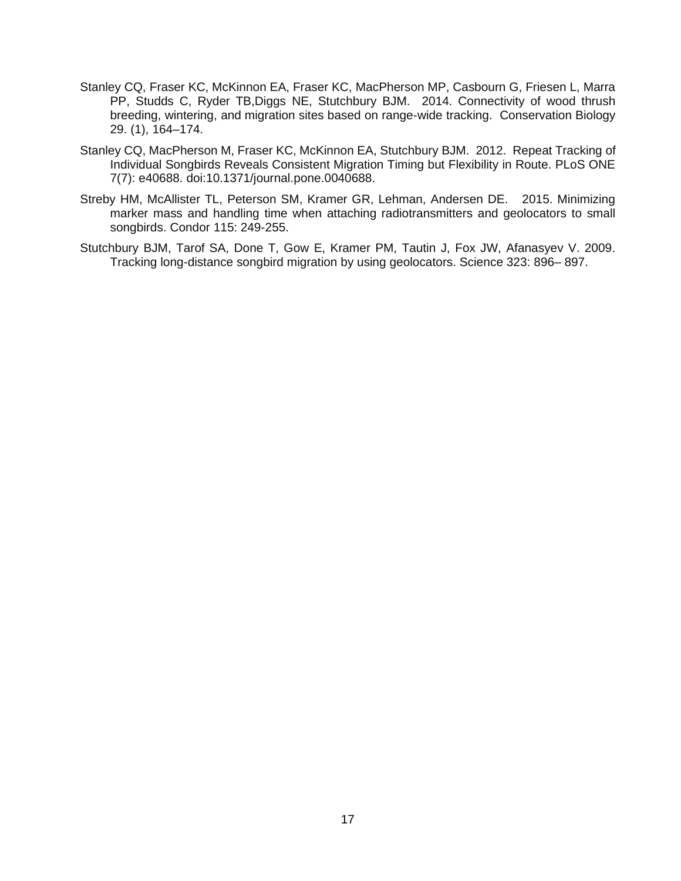- Stanley CQ, Fraser KC, McKinnon EA, Fraser KC, MacPherson MP, Casbourn G, Friesen L, Marra PP, Studds C, Ryder TB,Diggs NE, Stutchbury BJM. 2014. Connectivity of wood thrush breeding, wintering, and migration sites based on range-wide tracking. Conservation Biology 29. (1), 164–174.
- Stanley CQ, MacPherson M, Fraser KC, McKinnon EA, Stutchbury BJM. 2012. Repeat Tracking of Individual Songbirds Reveals Consistent Migration Timing but Flexibility in Route. PLoS ONE 7(7): e40688. doi:10.1371/journal.pone.0040688.
- Streby HM, McAllister TL, Peterson SM, Kramer GR, Lehman, Andersen DE. 2015. Minimizing marker mass and handling time when attaching radiotransmitters and geolocators to small songbirds. Condor 115: 249-255.
- Stutchbury BJM, Tarof SA, Done T, Gow E, Kramer PM, Tautin J, Fox JW, Afanasyev V. 2009. Tracking long-distance songbird migration by using geolocators. Science 323: 896– 897.